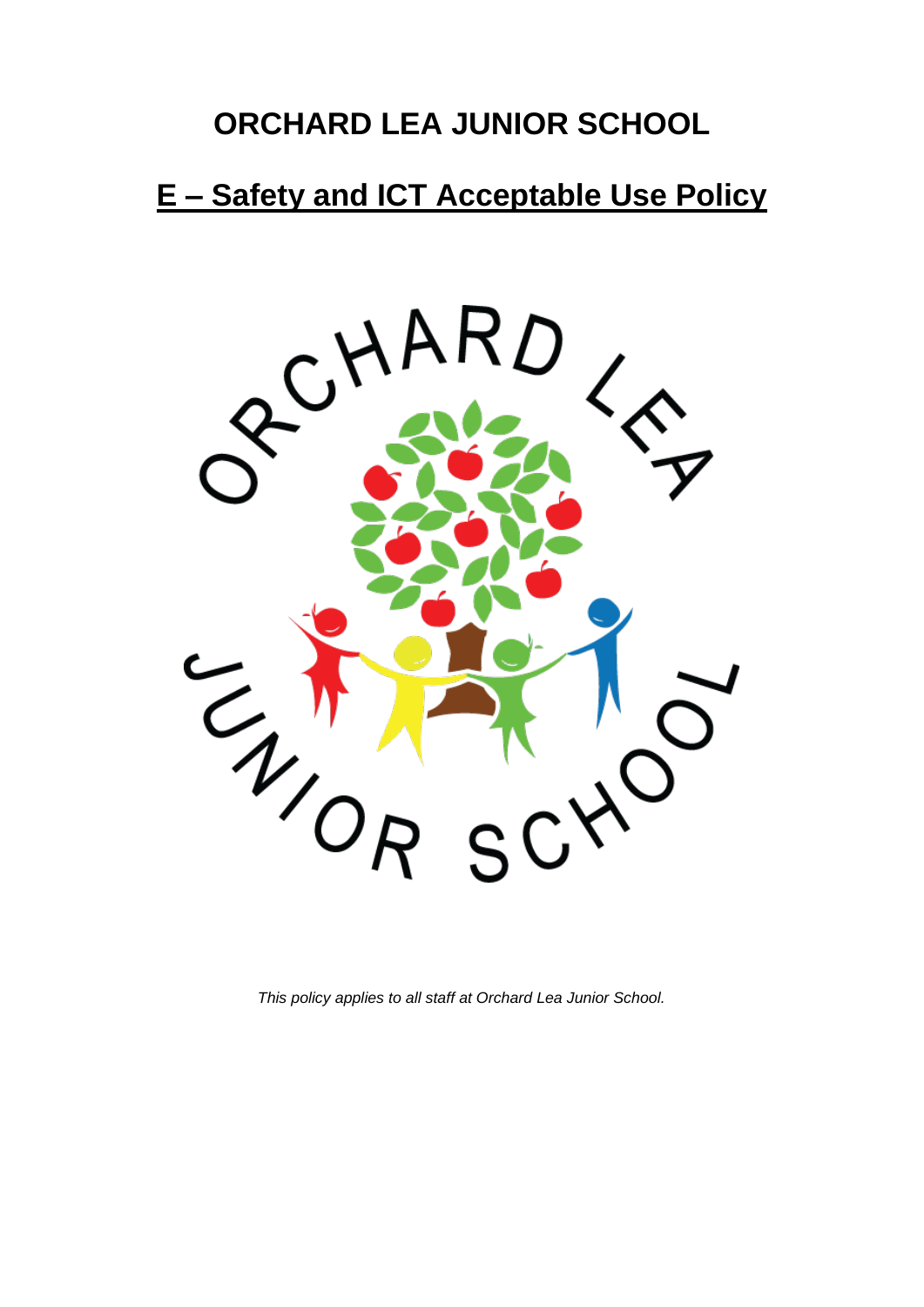# **ORCHARD LEA JUNIOR SCHOOL**

# **E – Safety and ICT Acceptable Use Policy**



*This policy applies to all staff at Orchard Lea Junior School.*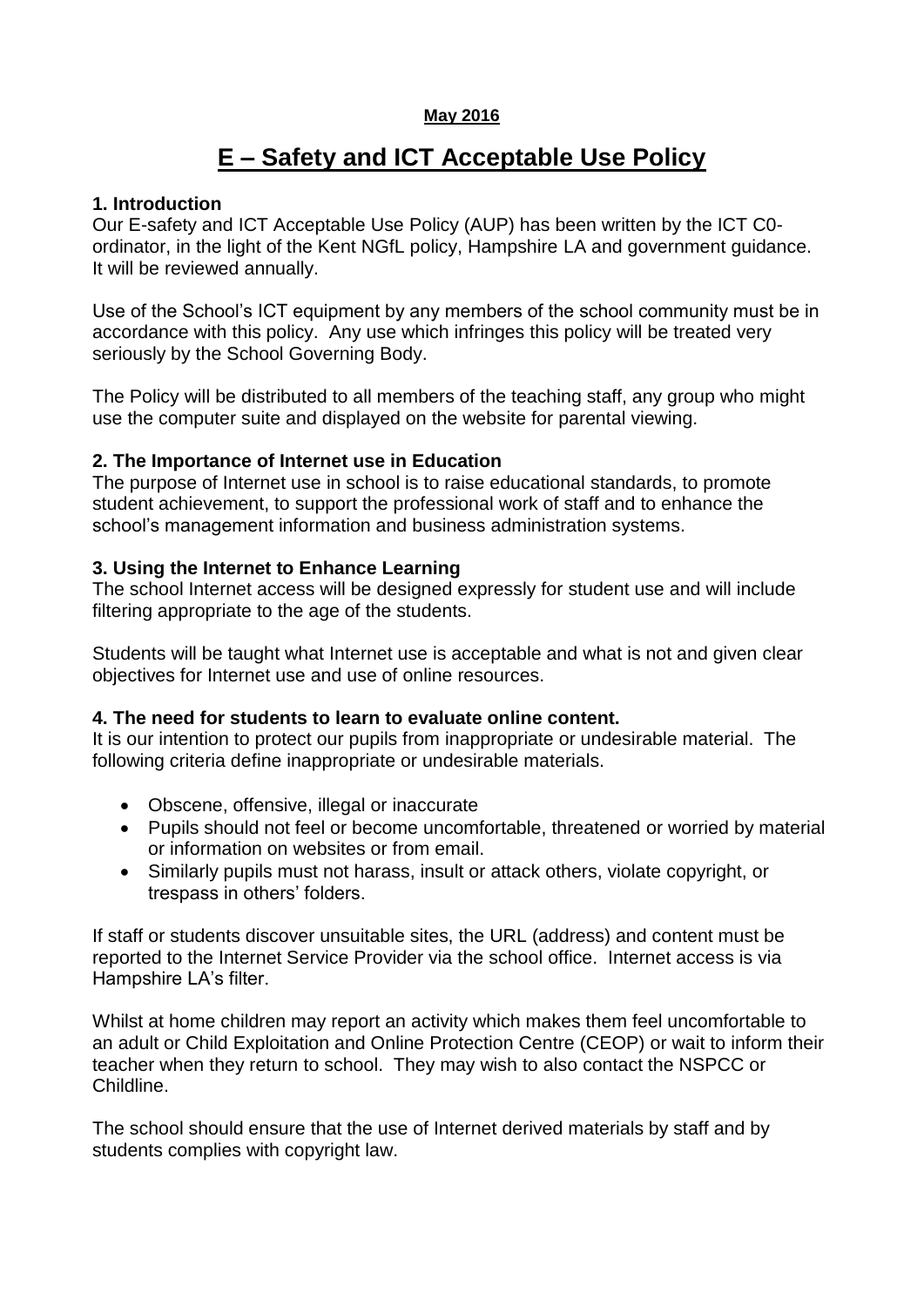#### **May 2016**

# **E – Safety and ICT Acceptable Use Policy**

#### **1. Introduction**

Our E-safety and ICT Acceptable Use Policy (AUP) has been written by the ICT C0 ordinator, in the light of the Kent NGfL policy, Hampshire LA and government guidance. It will be reviewed annually.

Use of the School's ICT equipment by any members of the school community must be in accordance with this policy. Any use which infringes this policy will be treated very seriously by the School Governing Body.

The Policy will be distributed to all members of the teaching staff, any group who might use the computer suite and displayed on the website for parental viewing.

#### **2. The Importance of Internet use in Education**

The purpose of Internet use in school is to raise educational standards, to promote student achievement, to support the professional work of staff and to enhance the school's management information and business administration systems.

#### **3. Using the Internet to Enhance Learning**

The school Internet access will be designed expressly for student use and will include filtering appropriate to the age of the students.

Students will be taught what Internet use is acceptable and what is not and given clear objectives for Internet use and use of online resources.

#### **4. The need for students to learn to evaluate online content.**

It is our intention to protect our pupils from inappropriate or undesirable material. The following criteria define inappropriate or undesirable materials.

- Obscene, offensive, illegal or inaccurate
- Pupils should not feel or become uncomfortable, threatened or worried by material or information on websites or from email.
- Similarly pupils must not harass, insult or attack others, violate copyright, or trespass in others' folders.

If staff or students discover unsuitable sites, the URL (address) and content must be reported to the Internet Service Provider via the school office. Internet access is via Hampshire LA's filter.

Whilst at home children may report an activity which makes them feel uncomfortable to an adult or Child Exploitation and Online Protection Centre (CEOP) or wait to inform their teacher when they return to school. They may wish to also contact the NSPCC or Childline.

The school should ensure that the use of Internet derived materials by staff and by students complies with copyright law.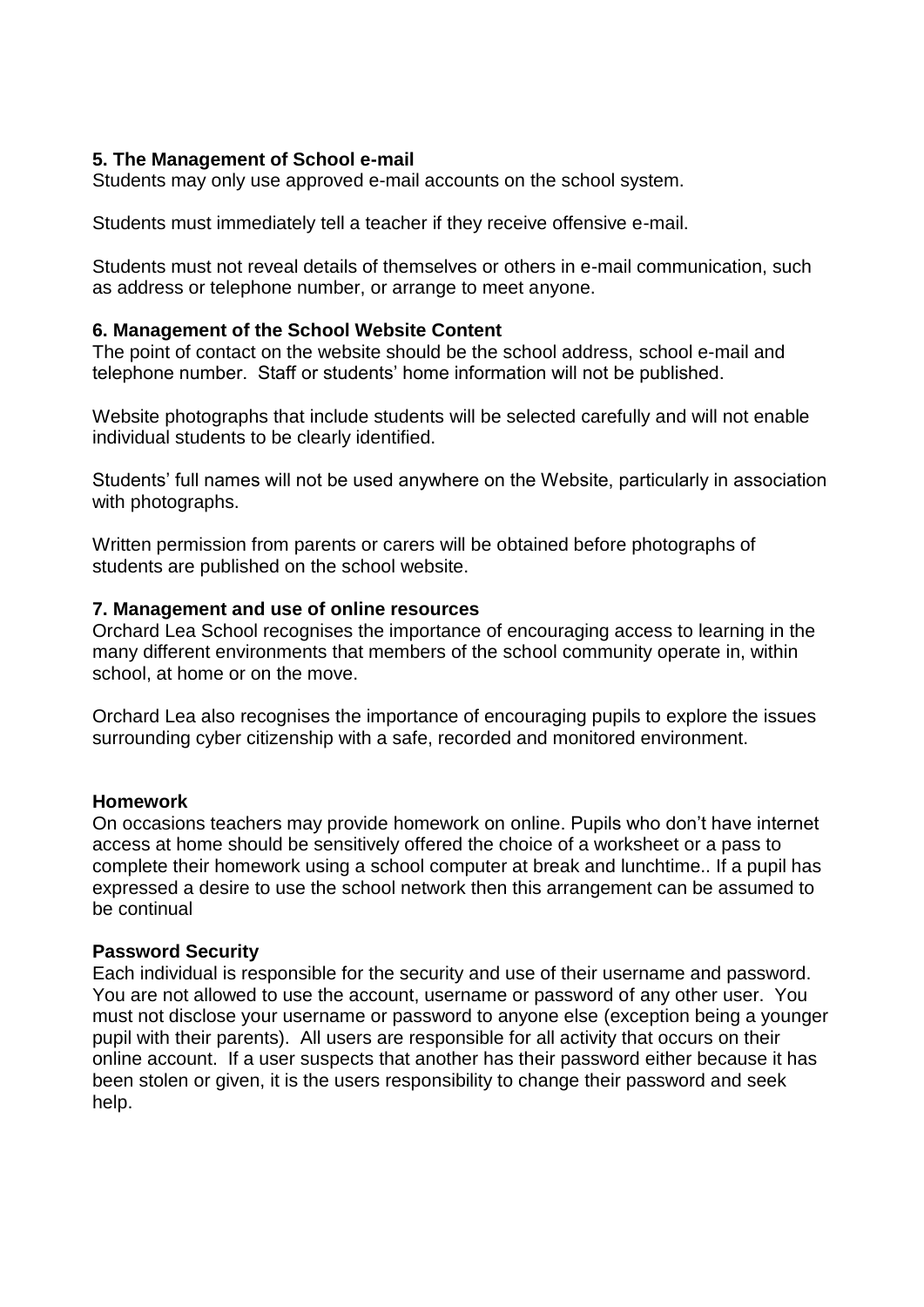#### **5. The Management of School e-mail**

Students may only use approved e-mail accounts on the school system.

Students must immediately tell a teacher if they receive offensive e-mail.

Students must not reveal details of themselves or others in e-mail communication, such as address or telephone number, or arrange to meet anyone.

#### **6. Management of the School Website Content**

The point of contact on the website should be the school address, school e-mail and telephone number. Staff or students' home information will not be published.

Website photographs that include students will be selected carefully and will not enable individual students to be clearly identified.

Students' full names will not be used anywhere on the Website, particularly in association with photographs.

Written permission from parents or carers will be obtained before photographs of students are published on the school website.

#### **7. Management and use of online resources**

Orchard Lea School recognises the importance of encouraging access to learning in the many different environments that members of the school community operate in, within school, at home or on the move.

Orchard Lea also recognises the importance of encouraging pupils to explore the issues surrounding cyber citizenship with a safe, recorded and monitored environment.

#### **Homework**

On occasions teachers may provide homework on online. Pupils who don't have internet access at home should be sensitively offered the choice of a worksheet or a pass to complete their homework using a school computer at break and lunchtime.. If a pupil has expressed a desire to use the school network then this arrangement can be assumed to be continual

#### **Password Security**

Each individual is responsible for the security and use of their username and password. You are not allowed to use the account, username or password of any other user. You must not disclose your username or password to anyone else (exception being a younger pupil with their parents). All users are responsible for all activity that occurs on their online account. If a user suspects that another has their password either because it has been stolen or given, it is the users responsibility to change their password and seek help.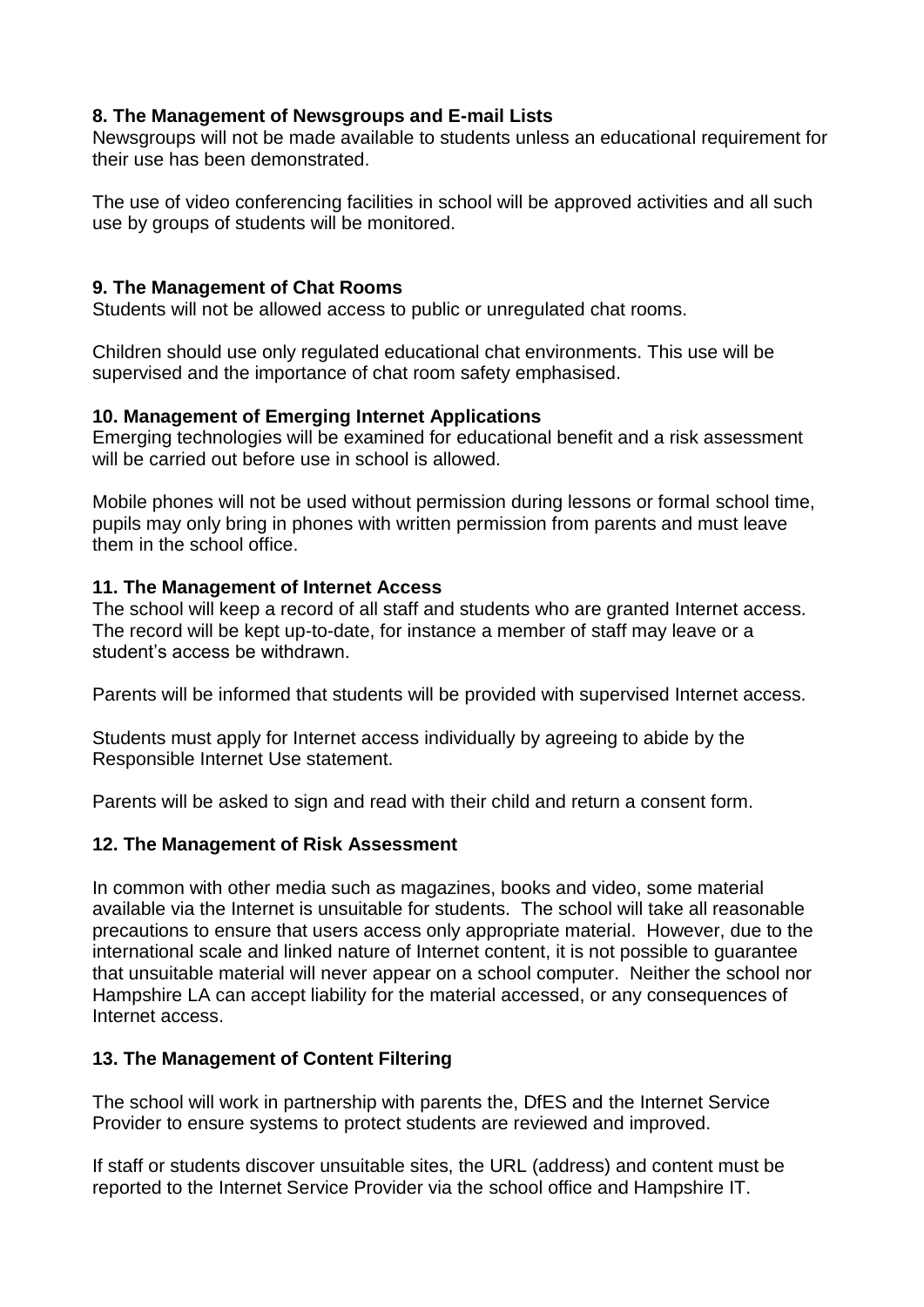# **8. The Management of Newsgroups and E-mail Lists**

Newsgroups will not be made available to students unless an educational requirement for their use has been demonstrated.

The use of video conferencing facilities in school will be approved activities and all such use by groups of students will be monitored.

# **9. The Management of Chat Rooms**

Students will not be allowed access to public or unregulated chat rooms.

Children should use only regulated educational chat environments. This use will be supervised and the importance of chat room safety emphasised.

# **10. Management of Emerging Internet Applications**

Emerging technologies will be examined for educational benefit and a risk assessment will be carried out before use in school is allowed.

Mobile phones will not be used without permission during lessons or formal school time, pupils may only bring in phones with written permission from parents and must leave them in the school office.

# **11. The Management of Internet Access**

The school will keep a record of all staff and students who are granted Internet access. The record will be kept up-to-date, for instance a member of staff may leave or a student's access be withdrawn.

Parents will be informed that students will be provided with supervised Internet access.

Students must apply for Internet access individually by agreeing to abide by the Responsible Internet Use statement.

Parents will be asked to sign and read with their child and return a consent form.

# **12. The Management of Risk Assessment**

In common with other media such as magazines, books and video, some material available via the Internet is unsuitable for students. The school will take all reasonable precautions to ensure that users access only appropriate material. However, due to the international scale and linked nature of Internet content, it is not possible to guarantee that unsuitable material will never appear on a school computer. Neither the school nor Hampshire LA can accept liability for the material accessed, or any consequences of Internet access.

# **13. The Management of Content Filtering**

The school will work in partnership with parents the, DfES and the Internet Service Provider to ensure systems to protect students are reviewed and improved.

If staff or students discover unsuitable sites, the URL (address) and content must be reported to the Internet Service Provider via the school office and Hampshire IT.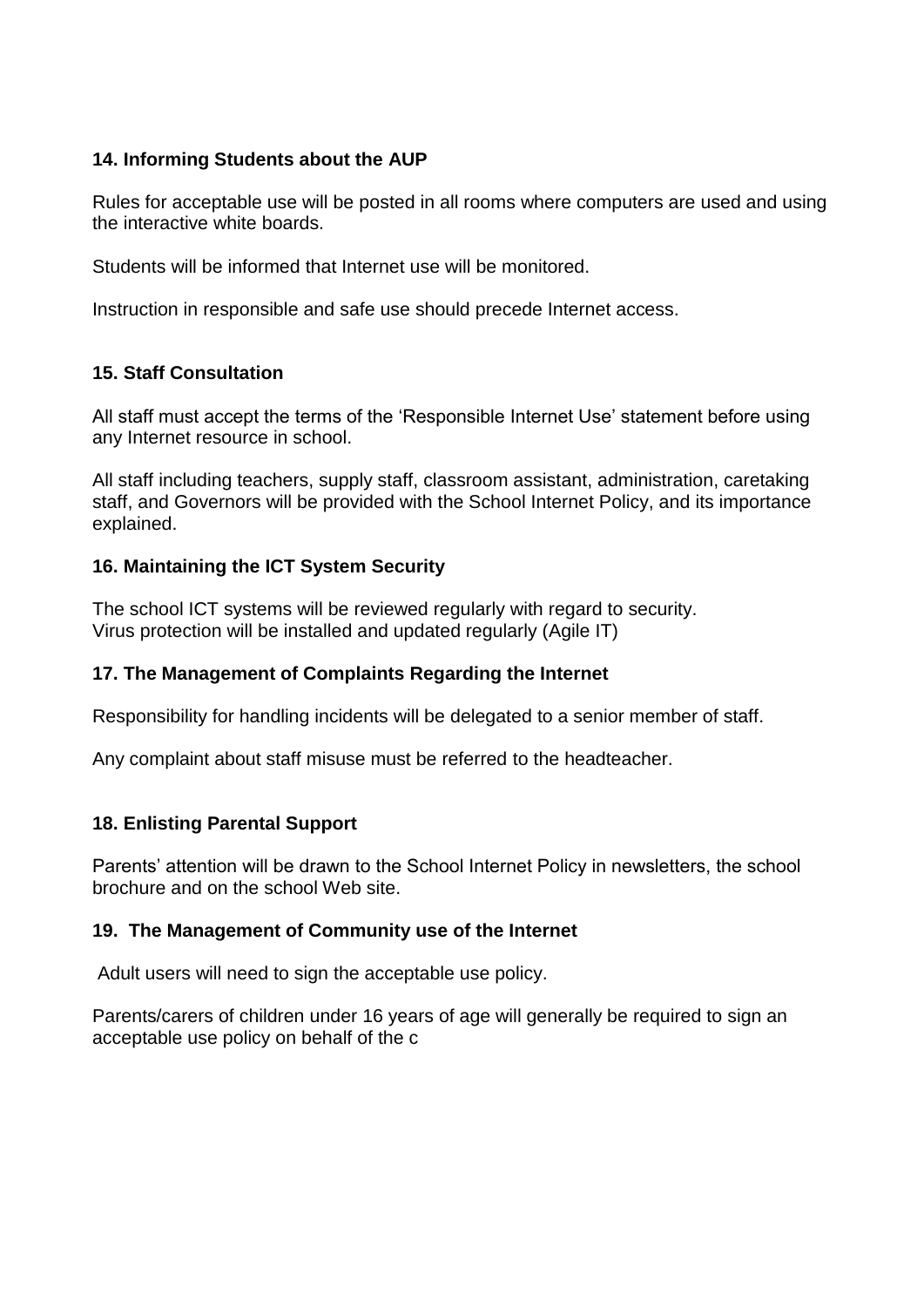#### **14. Informing Students about the AUP**

Rules for acceptable use will be posted in all rooms where computers are used and using the interactive white boards.

Students will be informed that Internet use will be monitored.

Instruction in responsible and safe use should precede Internet access.

# **15. Staff Consultation**

All staff must accept the terms of the 'Responsible Internet Use' statement before using any Internet resource in school.

All staff including teachers, supply staff, classroom assistant, administration, caretaking staff, and Governors will be provided with the School Internet Policy, and its importance explained.

# **16. Maintaining the ICT System Security**

The school ICT systems will be reviewed regularly with regard to security. Virus protection will be installed and updated regularly (Agile IT)

# **17. The Management of Complaints Regarding the Internet**

Responsibility for handling incidents will be delegated to a senior member of staff.

Any complaint about staff misuse must be referred to the headteacher.

# **18. Enlisting Parental Support**

Parents' attention will be drawn to the School Internet Policy in newsletters, the school brochure and on the school Web site.

# **19. The Management of Community use of the Internet**

Adult users will need to sign the acceptable use policy.

Parents/carers of children under 16 years of age will generally be required to sign an acceptable use policy on behalf of the c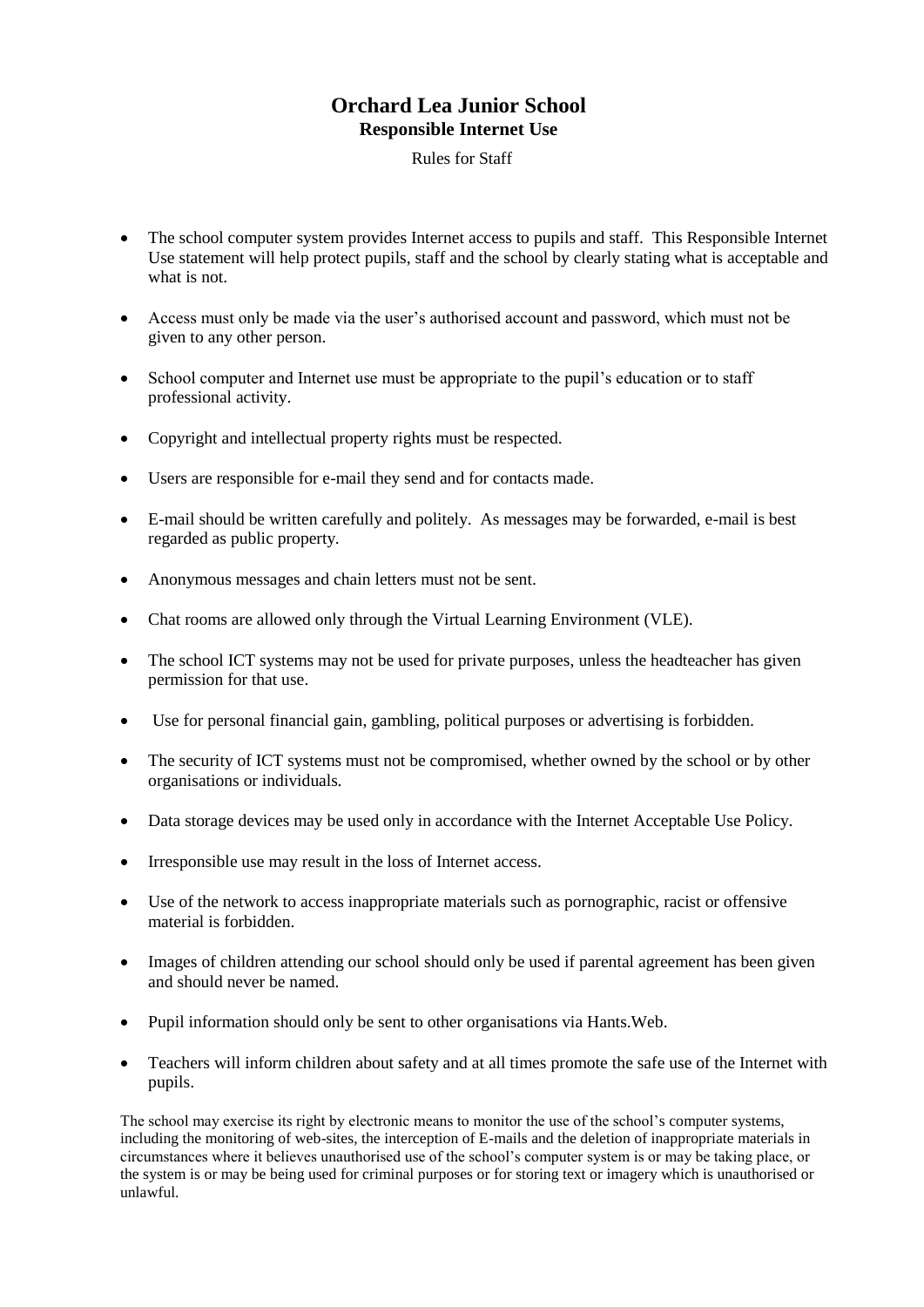# **Orchard Lea Junior School Responsible Internet Use**

Rules for Staff

- The school computer system provides Internet access to pupils and staff. This Responsible Internet Use statement will help protect pupils, staff and the school by clearly stating what is acceptable and what is not.
- Access must only be made via the user's authorised account and password, which must not be given to any other person.
- School computer and Internet use must be appropriate to the pupil's education or to staff professional activity.
- Copyright and intellectual property rights must be respected.
- Users are responsible for e-mail they send and for contacts made.
- E-mail should be written carefully and politely. As messages may be forwarded, e-mail is best regarded as public property.
- Anonymous messages and chain letters must not be sent.
- Chat rooms are allowed only through the Virtual Learning Environment (VLE).
- The school ICT systems may not be used for private purposes, unless the headteacher has given permission for that use.
- Use for personal financial gain, gambling, political purposes or advertising is forbidden.
- The security of ICT systems must not be compromised, whether owned by the school or by other organisations or individuals.
- Data storage devices may be used only in accordance with the Internet Acceptable Use Policy.
- Irresponsible use may result in the loss of Internet access.
- Use of the network to access inappropriate materials such as pornographic, racist or offensive material is forbidden.
- Images of children attending our school should only be used if parental agreement has been given and should never be named.
- Pupil information should only be sent to other organisations via Hants. Web.
- Teachers will inform children about safety and at all times promote the safe use of the Internet with pupils.

The school may exercise its right by electronic means to monitor the use of the school's computer systems, including the monitoring of web-sites, the interception of E-mails and the deletion of inappropriate materials in circumstances where it believes unauthorised use of the school's computer system is or may be taking place, or the system is or may be being used for criminal purposes or for storing text or imagery which is unauthorised or unlawful.